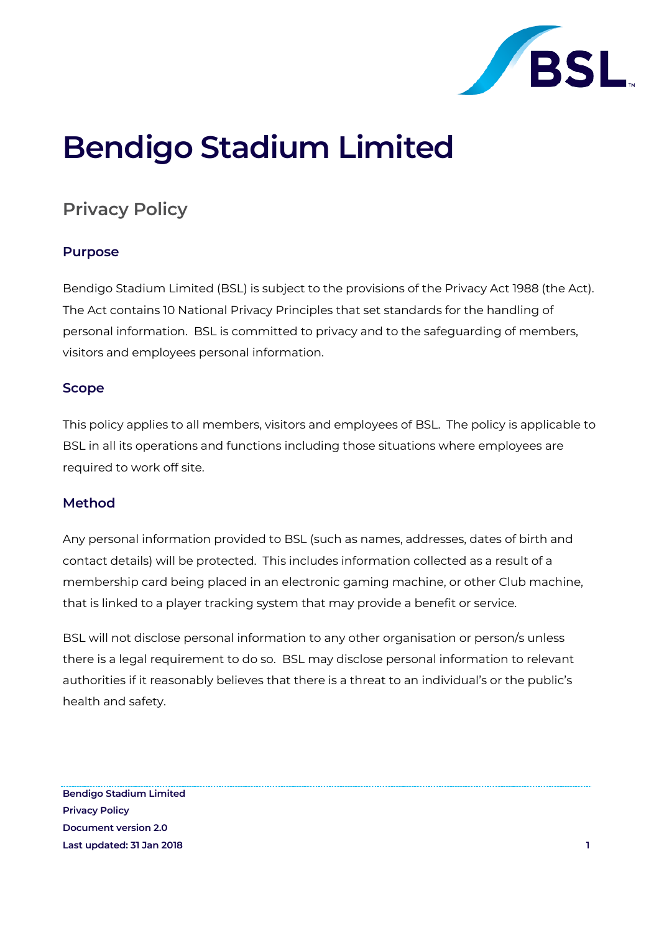

# **Bendigo Stadium Limited**

## **Privacy Policy**

### **Purpose**

Bendigo Stadium Limited (BSL) is subject to the provisions of the Privacy Act 1988 (the Act). The Act contains 10 National Privacy Principles that set standards for the handling of personal information. BSL is committed to privacy and to the safeguarding of members, visitors and employees personal information.

### **Scope**

This policy applies to all members, visitors and employees of BSL. The policy is applicable to BSL in all its operations and functions including those situations where employees are required to work off site.

### **Method**

Any personal information provided to BSL (such as names, addresses, dates of birth and contact details) will be protected. This includes information collected as a result of a membership card being placed in an electronic gaming machine, or other Club machine, that is linked to a player tracking system that may provide a benefit or service.

BSL will not disclose personal information to any other organisation or person/s unless there is a legal requirement to do so. BSL may disclose personal information to relevant authorities if it reasonably believes that there is a threat to an individual's or the public's health and safety.

**Bendigo Stadium Limited Privacy Policy Document version 2.0 Last updated: 31 Jan 2018 1**